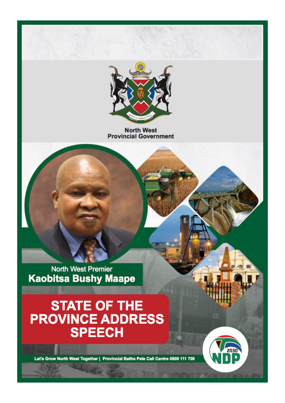

**North West Provincial Government** 

**North West Premier Kaobitsa Bushy Maape** 

# STATE OF THE<br>PROVINCE ADDRESS **SPEECH**

Let's Grow North West Together | Provincial Batho Pele Call Centre 0800 111 700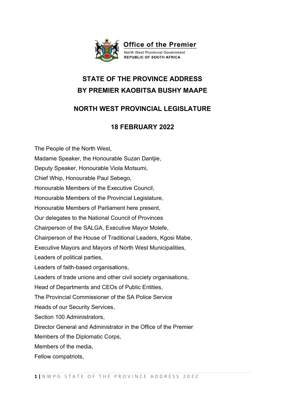

# **STATE OF THE PROVINCE ADDRESS BY PREMIER KAOBITSA BUSHY MAAPE**

## **NORTH WEST PROVINCIAL LEGISLATURE**

### **18 FEBRUARY 2022**

The People of the North West, Madame Speaker, the Honourable Suzan Dantjie, Deputy Speaker, Honourable Viola Motsumi, Chief Whip, Honourable Paul Sebego, Honourable Members of the Executive Council, Honourable Members of the Provincial Legislature, Honourable Members of Parliament here present, Our delegates to the National Council of Provinces Chairperson of the SALGA, Executive Mayor Molefe, Chairperson of the House of Traditional Leaders, Kgosi Mabe, Executive Mayors and Mayors of North West Municipalities, Leaders of political parties, Leaders of faith-based organisations, Leaders of trade unions and other civil society organisations, Head of Departments and CEOs of Public Entities, The Provincial Commissioner of the SA Police Service Heads of our Security Services, Section 100 Administrators, Director General and Administrator in the Office of the Premier Members of the Diplomatic Corps, Members of the media, Fellow compatriots,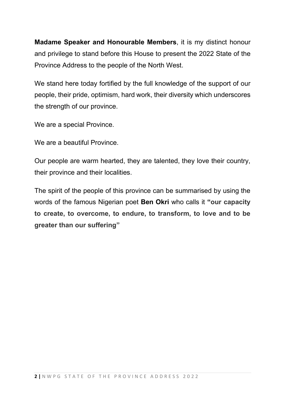**Madame Speaker and Honourable Members**, it is my distinct honour and privilege to stand before this House to present the 2022 State of the Province Address to the people of the North West.

We stand here today fortified by the full knowledge of the support of our people, their pride, optimism, hard work, their diversity which underscores the strength of our province.

We are a special Province.

We are a beautiful Province.

Our people are warm hearted, they are talented, they love their country, their province and their localities.

The spirit of the people of this province can be summarised by using the words of the famous Nigerian poet **Ben Okri** who calls it **"our capacity to create, to overcome, to endure, to transform, to love and to be greater than our suffering"**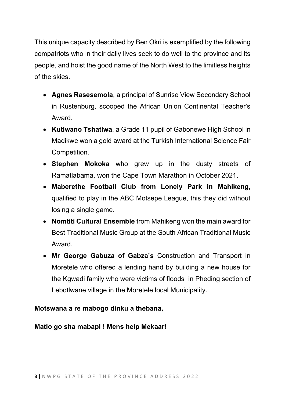This unique capacity described by Ben Okri is exemplified by the following compatriots who in their daily lives seek to do well to the province and its people, and hoist the good name of the North West to the limitless heights of the skies.

- **Agnes Rasesemola**, a principal of Sunrise View Secondary School in Rustenburg, scooped the African Union Continental Teacher's Award.
- **Kutlwano Tshatiwa**, a Grade 11 pupil of Gabonewe High School in Madikwe won a gold award at the Turkish International Science Fair Competition.
- **Stephen Mokoka** who grew up in the dusty streets of Ramatlabama, won the Cape Town Marathon in October 2021.
- **Maberethe Football Club from Lonely Park in Mahikeng**, qualified to play in the ABC Motsepe League, this they did without losing a single game.
- **Nomtiti Cultural Ensemble** from Mahikeng won the main award for Best Traditional Music Group at the South African Traditional Music Award.
- **Mr George Gabuza of Gabza's** Construction and Transport in Moretele who offered a lending hand by building a new house for the Kgwadi family who were victims of floods in Pheding section of Lebotlwane village in the Moretele local Municipality.

#### **Motswana a re mabogo dinku a thebana,**

**Matlo go sha mabapi ! Mens help Mekaar!**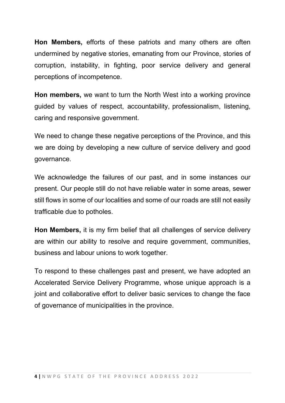**Hon Members,** efforts of these patriots and many others are often undermined by negative stories, emanating from our Province, stories of corruption, instability, in fighting, poor service delivery and general perceptions of incompetence.

**Hon members,** we want to turn the North West into a working province guided by values of respect, accountability, professionalism, listening, caring and responsive government.

We need to change these negative perceptions of the Province, and this we are doing by developing a new culture of service delivery and good governance.

We acknowledge the failures of our past, and in some instances our present. Our people still do not have reliable water in some areas, sewer still flows in some of our localities and some of our roads are still not easily trafficable due to potholes.

**Hon Members,** it is my firm belief that all challenges of service delivery are within our ability to resolve and require government, communities, business and labour unions to work together.

To respond to these challenges past and present, we have adopted an Accelerated Service Delivery Programme, whose unique approach is a joint and collaborative effort to deliver basic services to change the face of governance of municipalities in the province.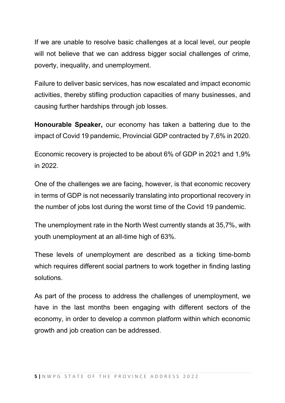If we are unable to resolve basic challenges at a local level, our people will not believe that we can address bigger social challenges of crime, poverty, inequality, and unemployment.

Failure to deliver basic services, has now escalated and impact economic activities, thereby stifling production capacities of many businesses, and causing further hardships through job losses.

**Honourable Speaker,** our economy has taken a battering due to the impact of Covid 19 pandemic, Provincial GDP contracted by 7,6% in 2020.

Economic recovery is projected to be about 6% of GDP in 2021 and 1,9% in 2022.

One of the challenges we are facing, however, is that economic recovery in terms of GDP is not necessarily translating into proportional recovery in the number of jobs lost during the worst time of the Covid 19 pandemic.

The unemployment rate in the North West currently stands at 35,7%, with youth unemployment at an all-time high of 63%.

These levels of unemployment are described as a ticking time-bomb which requires different social partners to work together in finding lasting solutions.

As part of the process to address the challenges of unemployment, we have in the last months been engaging with different sectors of the economy, in order to develop a common platform within which economic growth and job creation can be addressed.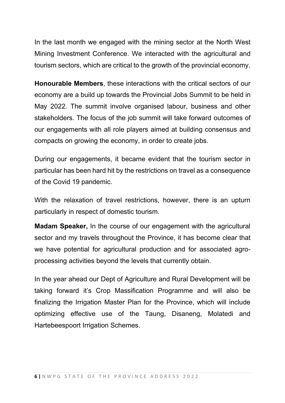In the last month we engaged with the mining sector at the North West Mining Investment Conference. We interacted with the agricultural and tourism sectors, which are critical to the growth of the provincial economy.

**Honourable Members**, these interactions with the critical sectors of our economy are a build up towards the Provincial Jobs Summit to be held in May 2022. The summit involve organised labour, business and other stakeholders. The focus of the job summit will take forward outcomes of our engagements with all role players aimed at building consensus and compacts on growing the economy, in order to create jobs.

During our engagements, it became evident that the tourism sector in particular has been hard hit by the restrictions on travel as a consequence of the Covid 19 pandemic.

With the relaxation of travel restrictions, however, there is an upturn particularly in respect of domestic tourism.

**Madam Speaker,** In the course of our engagement with the agricultural sector and my travels throughout the Province, it has become clear that we have potential for agricultural production and for associated agroprocessing activities beyond the levels that currently obtain.

In the year ahead our Dept of Agriculture and Rural Development will be taking forward it's Crop Massification Programme and will also be finalizing the Irrigation Master Plan for the Province, which will include optimizing effective use of the Taung, Disaneng, Molatedi and Hartebeespoort Irrigation Schemes.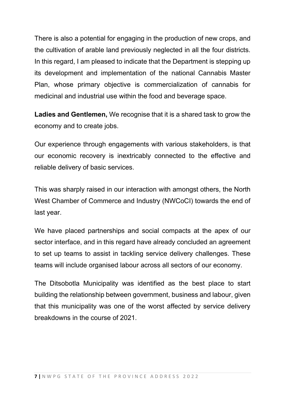There is also a potential for engaging in the production of new crops, and the cultivation of arable land previously neglected in all the four districts. In this regard, I am pleased to indicate that the Department is stepping up its development and implementation of the national Cannabis Master Plan, whose primary objective is commercialization of cannabis for medicinal and industrial use within the food and beverage space.

**Ladies and Gentlemen,** We recognise that it is a shared task to grow the economy and to create jobs.

Our experience through engagements with various stakeholders, is that our economic recovery is inextricably connected to the effective and reliable delivery of basic services.

This was sharply raised in our interaction with amongst others, the North West Chamber of Commerce and Industry (NWCoCI) towards the end of last year.

We have placed partnerships and social compacts at the apex of our sector interface, and in this regard have already concluded an agreement to set up teams to assist in tackling service delivery challenges. These teams will include organised labour across all sectors of our economy.

The Ditsobotla Municipality was identified as the best place to start building the relationship between government, business and labour, given that this municipality was one of the worst affected by service delivery breakdowns in the course of 2021.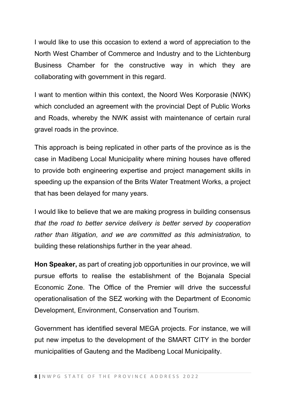I would like to use this occasion to extend a word of appreciation to the North West Chamber of Commerce and Industry and to the Lichtenburg Business Chamber for the constructive way in which they are collaborating with government in this regard.

I want to mention within this context, the Noord Wes Korporasie (NWK) which concluded an agreement with the provincial Dept of Public Works and Roads, whereby the NWK assist with maintenance of certain rural gravel roads in the province.

This approach is being replicated in other parts of the province as is the case in Madibeng Local Municipality where mining houses have offered to provide both engineering expertise and project management skills in speeding up the expansion of the Brits Water Treatment Works, a project that has been delayed for many years.

I would like to believe that we are making progress in building consensus *that the road to better service delivery is better served by cooperation rather than litigation, and we are committed as this administration,* to building these relationships further in the year ahead.

**Hon Speaker,** as part of creating job opportunities in our province, we will pursue efforts to realise the establishment of the Bojanala Special Economic Zone. The Office of the Premier will drive the successful operationalisation of the SEZ working with the Department of Economic Development, Environment, Conservation and Tourism.

Government has identified several MEGA projects. For instance, we will put new impetus to the development of the SMART CITY in the border municipalities of Gauteng and the Madibeng Local Municipality.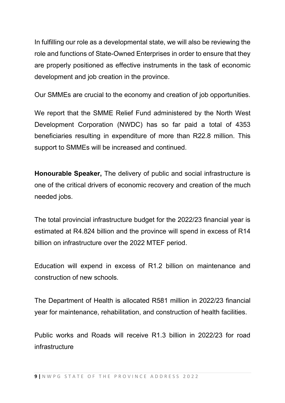In fulfilling our role as a developmental state, we will also be reviewing the role and functions of State-Owned Enterprises in order to ensure that they are properly positioned as effective instruments in the task of economic development and job creation in the province.

Our SMMEs are crucial to the economy and creation of job opportunities.

We report that the SMME Relief Fund administered by the North West Development Corporation (NWDC) has so far paid a total of 4353 beneficiaries resulting in expenditure of more than R22.8 million. This support to SMMEs will be increased and continued.

**Honourable Speaker,** The delivery of public and social infrastructure is one of the critical drivers of economic recovery and creation of the much needed jobs.

The total provincial infrastructure budget for the 2022/23 financial year is estimated at R4.824 billion and the province will spend in excess of R14 billion on infrastructure over the 2022 MTEF period.

Education will expend in excess of R1.2 billion on maintenance and construction of new schools.

The Department of Health is allocated R581 million in 2022/23 financial year for maintenance, rehabilitation, and construction of health facilities.

Public works and Roads will receive R1.3 billion in 2022/23 for road infrastructure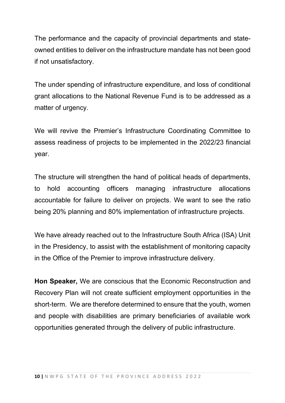The performance and the capacity of provincial departments and stateowned entities to deliver on the infrastructure mandate has not been good if not unsatisfactory.

The under spending of infrastructure expenditure, and loss of conditional grant allocations to the National Revenue Fund is to be addressed as a matter of urgency.

We will revive the Premier's Infrastructure Coordinating Committee to assess readiness of projects to be implemented in the 2022/23 financial year.

The structure will strengthen the hand of political heads of departments, to hold accounting officers managing infrastructure allocations accountable for failure to deliver on projects. We want to see the ratio being 20% planning and 80% implementation of infrastructure projects.

We have already reached out to the Infrastructure South Africa (ISA) Unit in the Presidency, to assist with the establishment of monitoring capacity in the Office of the Premier to improve infrastructure delivery.

**Hon Speaker,** We are conscious that the Economic Reconstruction and Recovery Plan will not create sufficient employment opportunities in the short-term. We are therefore determined to ensure that the youth, women and people with disabilities are primary beneficiaries of available work opportunities generated through the delivery of public infrastructure.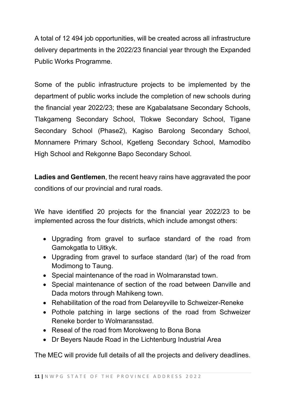A total of 12 494 job opportunities, will be created across all infrastructure delivery departments in the 2022/23 financial year through the Expanded Public Works Programme.

Some of the public infrastructure projects to be implemented by the department of public works include the completion of new schools during the financial year 2022/23; these are Kgabalatsane Secondary Schools, Tlakgameng Secondary School, Tlokwe Secondary School, Tigane Secondary School (Phase2), Kagiso Barolong Secondary School, Monnamere Primary School, Kgetleng Secondary School, Mamodibo High School and Rekgonne Bapo Secondary School.

**Ladies and Gentlemen**, the recent heavy rains have aggravated the poor conditions of our provincial and rural roads.

We have identified 20 projects for the financial year 2022/23 to be implemented across the four districts, which include amongst others:

- Upgrading from gravel to surface standard of the road from Gamokgatla to Uitkyk.
- Upgrading from gravel to surface standard (tar) of the road from Modimong to Taung.
- Special maintenance of the road in Wolmaranstad town.
- Special maintenance of section of the road between Danville and Dada motors through Mahikeng town.
- Rehabilitation of the road from Delareyville to Schweizer-Reneke
- Pothole patching in large sections of the road from Schweizer Reneke border to Wolmaransstad.
- Reseal of the road from Morokweng to Bona Bona
- Dr Beyers Naude Road in the Lichtenburg Industrial Area

The MEC will provide full details of all the projects and delivery deadlines.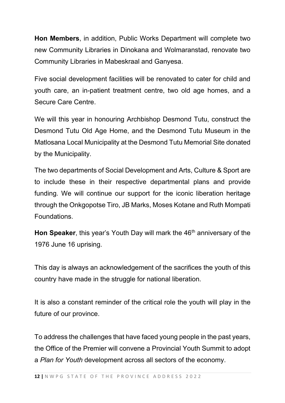**Hon Members**, in addition, Public Works Department will complete two new Community Libraries in Dinokana and Wolmaranstad, renovate two Community Libraries in Mabeskraal and Ganyesa.

Five social development facilities will be renovated to cater for child and youth care, an in-patient treatment centre, two old age homes, and a Secure Care Centre.

We will this year in honouring Archbishop Desmond Tutu, construct the Desmond Tutu Old Age Home, and the Desmond Tutu Museum in the Matlosana Local Municipality at the Desmond Tutu Memorial Site donated by the Municipality.

The two departments of Social Development and Arts, Culture & Sport are to include these in their respective departmental plans and provide funding. We will continue our support for the iconic liberation heritage through the Onkgopotse Tiro, JB Marks, Moses Kotane and Ruth Mompati Foundations.

**Hon Speaker**, this year's Youth Day will mark the 46<sup>th</sup> anniversary of the 1976 June 16 uprising.

This day is always an acknowledgement of the sacrifices the youth of this country have made in the struggle for national liberation.

It is also a constant reminder of the critical role the youth will play in the future of our province.

To address the challenges that have faced young people in the past years, the Office of the Premier will convene a Provincial Youth Summit to adopt a *Plan for Youth* development across all sectors of the economy.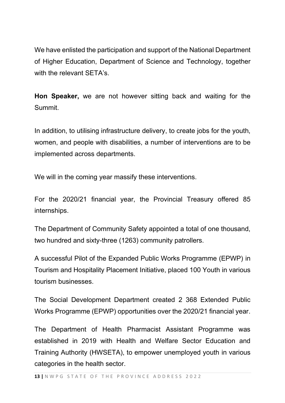We have enlisted the participation and support of the National Department of Higher Education, Department of Science and Technology, together with the relevant SETA's.

**Hon Speaker,** we are not however sitting back and waiting for the Summit.

In addition, to utilising infrastructure delivery, to create jobs for the youth, women, and people with disabilities, a number of interventions are to be implemented across departments.

We will in the coming year massify these interventions.

For the 2020/21 financial year, the Provincial Treasury offered 85 internships.

The Department of Community Safety appointed a total of one thousand, two hundred and sixty-three (1263) community patrollers.

A successful Pilot of the Expanded Public Works Programme (EPWP) in Tourism and Hospitality Placement Initiative, placed 100 Youth in various tourism businesses.

The Social Development Department created 2 368 Extended Public Works Programme (EPWP) opportunities over the 2020/21 financial year.

The Department of Health Pharmacist Assistant Programme was established in 2019 with Health and Welfare Sector Education and Training Authority (HWSETA), to empower unemployed youth in various categories in the health sector.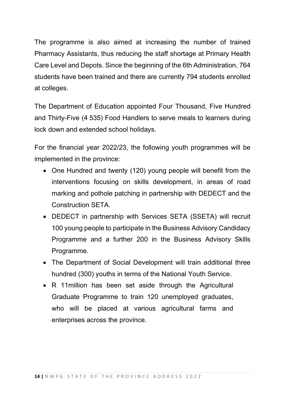The programme is also aimed at increasing the number of trained Pharmacy Assistants, thus reducing the staff shortage at Primary Health Care Level and Depots. Since the beginning of the 6th Administration, 764 students have been trained and there are currently 794 students enrolled at colleges.

The Department of Education appointed Four Thousand, Five Hundred and Thirty-Five (4 535) Food Handlers to serve meals to learners during lock down and extended school holidays.

For the financial year 2022/23, the following youth programmes will be implemented in the province:

- One Hundred and twenty (120) young people will benefit from the interventions focusing on skills development, in areas of road marking and pothole patching in partnership with DEDECT and the Construction SETA.
- DEDECT in partnership with Services SETA (SSETA) will recruit 100 young people to participate in the Business Advisory Candidacy Programme and a further 200 in the Business Advisory Skills Programme.
- The Department of Social Development will train additional three hundred (300) youths in terms of the National Youth Service.
- R 11million has been set aside through the Agricultural Graduate Programme to train 120 unemployed graduates, who will be placed at various agricultural farms and enterprises across the province.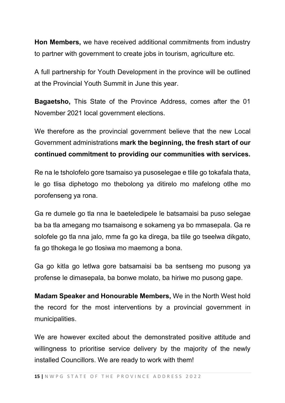**Hon Members,** we have received additional commitments from industry to partner with government to create jobs in tourism, agriculture etc.

A full partnership for Youth Development in the province will be outlined at the Provincial Youth Summit in June this year.

**Bagaetsho,** This State of the Province Address, comes after the 01 November 2021 local government elections.

We therefore as the provincial government believe that the new Local Government administrations **mark the beginning, the fresh start of our continued commitment to providing our communities with services.**

Re na le tsholofelo gore tsamaiso ya pusoselegae e tlile go tokafala thata, le go tlisa diphetogo mo thebolong ya ditirelo mo mafelong otlhe mo porofenseng ya rona.

Ga re dumele go tla nna le baeteledipele le batsamaisi ba puso selegae ba ba tla amegang mo tsamaisong e sokameng ya bo mmasepala. Ga re solofele go tla nna jalo, mme fa go ka direga, ba tlile go tseelwa dikgato, fa go tlhokega le go tlosiwa mo maemong a bona.

Ga go kitla go letlwa gore batsamaisi ba ba sentseng mo pusong ya profense le dimasepala, ba bonwe molato, ba hiriwe mo pusong gape.

**Madam Speaker and Honourable Members,** We in the North West hold the record for the most interventions by a provincial government in municipalities.

We are however excited about the demonstrated positive attitude and willingness to prioritise service delivery by the majority of the newly installed Councillors. We are ready to work with them!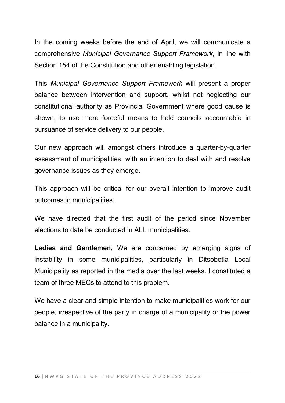In the coming weeks before the end of April, we will communicate a comprehensive *Municipal Governance Support Framework,* in line with Section 154 of the Constitution and other enabling legislation.

This *Municipal Governance Support Framework* will present a proper balance between intervention and support, whilst not neglecting our constitutional authority as Provincial Government where good cause is shown, to use more forceful means to hold councils accountable in pursuance of service delivery to our people.

Our new approach will amongst others introduce a quarter-by-quarter assessment of municipalities, with an intention to deal with and resolve governance issues as they emerge.

This approach will be critical for our overall intention to improve audit outcomes in municipalities.

We have directed that the first audit of the period since November elections to date be conducted in ALL municipalities.

**Ladies and Gentlemen,** We are concerned by emerging signs of instability in some municipalities, particularly in Ditsobotla Local Municipality as reported in the media over the last weeks. I constituted a team of three MECs to attend to this problem.

We have a clear and simple intention to make municipalities work for our people, irrespective of the party in charge of a municipality or the power balance in a municipality.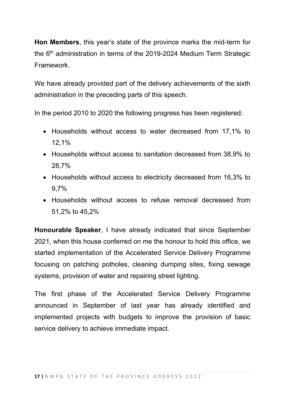**Hon Members**, this year's state of the province marks the mid-term for the 6<sup>th</sup> administration in terms of the 2019-2024 Medium Term Strategic Framework.

We have already provided part of the delivery achievements of the sixth administration in the preceding parts of this speech.

In the period 2010 to 2020 the following progress has been registered:

- Households without access to water decreased from 17,1% to 12,1%
- Households without access to sanitation decreased from 38,9% to 28,7%
- Households without access to electricity decreased from 16,3% to 9,7%
- Households without access to refuse removal decreased from 51,2% to 45,2%

**Honourable Speaker**, I have already indicated that since September 2021, when this house conferred on me the honour to hold this office, we started implementation of the Accelerated Service Delivery Programme focusing on patching potholes, cleaning dumping sites, fixing sewage systems, provision of water and repairing street lighting.

The first phase of the Accelerated Service Delivery Programme announced in September of last year has already identified and implemented projects with budgets to improve the provision of basic service delivery to achieve immediate impact.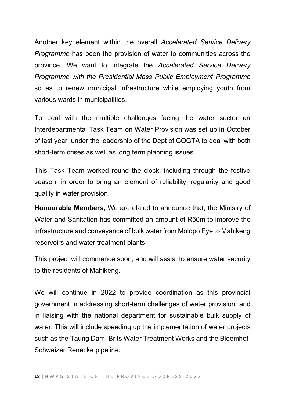Another key element within the overall *Accelerated Service Delivery Programme* has been the provision of water to communities across the province. We want to integrate the *Accelerated Service Delivery Programme with the Presidential Mass Public Employment Programme* so as to renew municipal infrastructure while employing youth from various wards in municipalities.

To deal with the multiple challenges facing the water sector an Interdepartmental Task Team on Water Provision was set up in October of last year, under the leadership of the Dept of COGTA to deal with both short-term crises as well as long term planning issues.

This Task Team worked round the clock, including through the festive season, in order to bring an element of reliability, regularity and good quality in water provision.

**Honourable Members,** We are elated to announce that, the Ministry of Water and Sanitation has committed an amount of R50m to improve the infrastructure and conveyance of bulk water from Molopo Eye to Mahikeng reservoirs and water treatment plants.

This project will commence soon, and will assist to ensure water security to the residents of Mahikeng.

We will continue in 2022 to provide coordination as this provincial government in addressing short-term challenges of water provision, and in liaising with the national department for sustainable bulk supply of water. This will include speeding up the implementation of water projects such as the Taung Dam, Brits Water Treatment Works and the Bloemhof-Schweizer Renecke pipeline.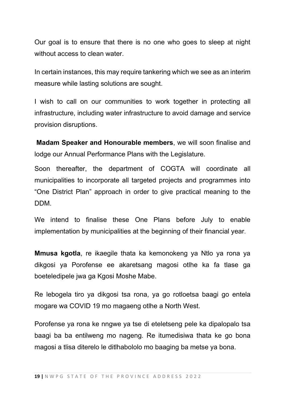Our goal is to ensure that there is no one who goes to sleep at night without access to clean water.

In certain instances, this may require tankering which we see as an interim measure while lasting solutions are sought.

I wish to call on our communities to work together in protecting all infrastructure, including water infrastructure to avoid damage and service provision disruptions.

**Madam Speaker and Honourable members**, we will soon finalise and lodge our Annual Performance Plans with the Legislature.

Soon thereafter, the department of COGTA will coordinate all municipalities to incorporate all targeted projects and programmes into "One District Plan" approach in order to give practical meaning to the DDM.

We intend to finalise these One Plans before July to enable implementation by municipalities at the beginning of their financial year.

**Mmusa kgotla**, re ikaegile thata ka kemonokeng ya Ntlo ya rona ya dikgosi ya Porofense ee akaretsang magosi otlhe ka fa tlase ga boeteledipele jwa ga Kgosi Moshe Mabe.

Re lebogela tiro ya dikgosi tsa rona, ya go rotloetsa baagi go entela mogare wa COVID 19 mo magaeng otlhe a North West.

Porofense ya rona ke nngwe ya tse di eteletseng pele ka dipalopalo tsa baagi ba ba entilweng mo nageng. Re itumedisiwa thata ke go bona magosi a tlisa diterelo le ditlhabololo mo baaging ba metse ya bona.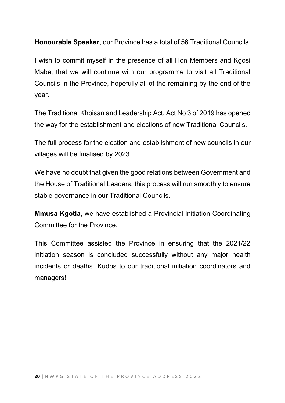**Honourable Speaker**, our Province has a total of 56 Traditional Councils.

I wish to commit myself in the presence of all Hon Members and Kgosi Mabe, that we will continue with our programme to visit all Traditional Councils in the Province, hopefully all of the remaining by the end of the year.

The Traditional Khoisan and Leadership Act, Act No 3 of 2019 has opened the way for the establishment and elections of new Traditional Councils.

The full process for the election and establishment of new councils in our villages will be finalised by 2023.

We have no doubt that given the good relations between Government and the House of Traditional Leaders, this process will run smoothly to ensure stable governance in our Traditional Councils.

**Mmusa Kgotla**, we have established a Provincial Initiation Coordinating Committee for the Province.

This Committee assisted the Province in ensuring that the 2021/22 initiation season is concluded successfully without any major health incidents or deaths. Kudos to our traditional initiation coordinators and managers!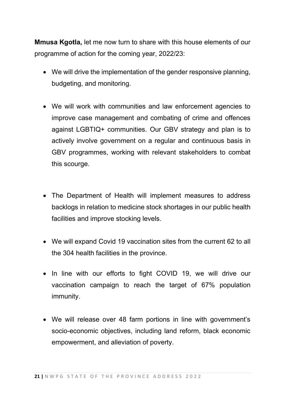**Mmusa Kgotla,** let me now turn to share with this house elements of our programme of action for the coming year, 2022/23:

- We will drive the implementation of the gender responsive planning, budgeting, and monitoring.
- We will work with communities and law enforcement agencies to improve case management and combating of crime and offences against LGBTIQ+ communities. Our GBV strategy and plan is to actively involve government on a regular and continuous basis in GBV programmes, working with relevant stakeholders to combat this scourge.
- The Department of Health will implement measures to address backlogs in relation to medicine stock shortages in our public health facilities and improve stocking levels.
- We will expand Covid 19 vaccination sites from the current 62 to all the 304 health facilities in the province.
- In line with our efforts to fight COVID 19, we will drive our vaccination campaign to reach the target of 67% population immunity.
- We will release over 48 farm portions in line with government's socio-economic objectives, including land reform, black economic empowerment, and alleviation of poverty.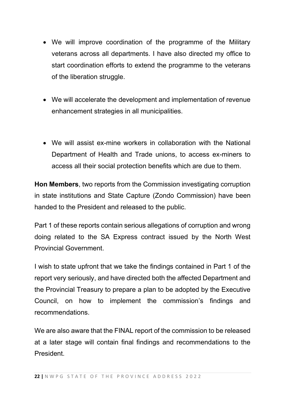- We will improve coordination of the programme of the Military veterans across all departments. I have also directed my office to start coordination efforts to extend the programme to the veterans of the liberation struggle.
- We will accelerate the development and implementation of revenue enhancement strategies in all municipalities.
- We will assist ex-mine workers in collaboration with the National Department of Health and Trade unions, to access ex-miners to access all their social protection benefits which are due to them.

**Hon Members**, two reports from the Commission investigating corruption in state institutions and State Capture (Zondo Commission) have been handed to the President and released to the public.

Part 1 of these reports contain serious allegations of corruption and wrong doing related to the SA Express contract issued by the North West Provincial Government.

I wish to state upfront that we take the findings contained in Part 1 of the report very seriously, and have directed both the affected Department and the Provincial Treasury to prepare a plan to be adopted by the Executive Council, on how to implement the commission's findings and recommendations.

We are also aware that the FINAL report of the commission to be released at a later stage will contain final findings and recommendations to the President.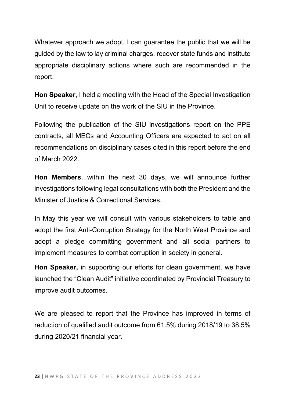Whatever approach we adopt, I can guarantee the public that we will be guided by the law to lay criminal charges, recover state funds and institute appropriate disciplinary actions where such are recommended in the report.

**Hon Speaker,** I held a meeting with the Head of the Special Investigation Unit to receive update on the work of the SIU in the Province.

Following the publication of the SIU investigations report on the PPE contracts, all MECs and Accounting Officers are expected to act on all recommendations on disciplinary cases cited in this report before the end of March 2022.

**Hon Members**, within the next 30 days, we will announce further investigations following legal consultations with both the President and the Minister of Justice & Correctional Services.

In May this year we will consult with various stakeholders to table and adopt the first Anti-Corruption Strategy for the North West Province and adopt a pledge committing government and all social partners to implement measures to combat corruption in society in general.

**Hon Speaker,** in supporting our efforts for clean government, we have launched the "Clean Audit" initiative coordinated by Provincial Treasury to improve audit outcomes.

We are pleased to report that the Province has improved in terms of reduction of qualified audit outcome from 61.5% during 2018/19 to 38.5% during 2020/21 financial year.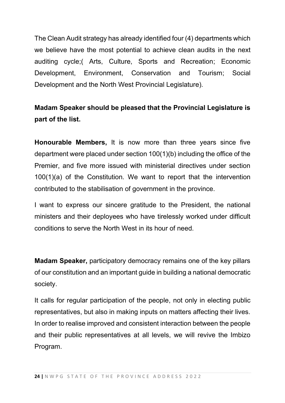The Clean Audit strategy has already identified four (4) departments which we believe have the most potential to achieve clean audits in the next auditing cycle;( Arts, Culture, Sports and Recreation; Economic Development, Environment, Conservation and Tourism; Social Development and the North West Provincial Legislature).

## **Madam Speaker should be pleased that the Provincial Legislature is part of the list.**

**Honourable Members,** It is now more than three years since five department were placed under section 100(1)(b) including the office of the Premier, and five more issued with ministerial directives under section 100(1)(a) of the Constitution. We want to report that the intervention contributed to the stabilisation of government in the province.

I want to express our sincere gratitude to the President, the national ministers and their deployees who have tirelessly worked under difficult conditions to serve the North West in its hour of need.

**Madam Speaker,** participatory democracy remains one of the key pillars of our constitution and an important guide in building a national democratic society.

It calls for regular participation of the people, not only in electing public representatives, but also in making inputs on matters affecting their lives. In order to realise improved and consistent interaction between the people and their public representatives at all levels, we will revive the Imbizo Program.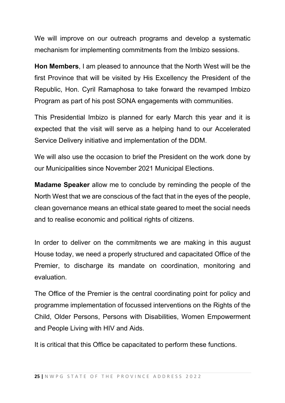We will improve on our outreach programs and develop a systematic mechanism for implementing commitments from the Imbizo sessions.

**Hon Members**, I am pleased to announce that the North West will be the first Province that will be visited by His Excellency the President of the Republic, Hon. Cyril Ramaphosa to take forward the revamped Imbizo Program as part of his post SONA engagements with communities.

This Presidential Imbizo is planned for early March this year and it is expected that the visit will serve as a helping hand to our Accelerated Service Delivery initiative and implementation of the DDM.

We will also use the occasion to brief the President on the work done by our Municipalities since November 2021 Municipal Elections.

**Madame Speaker** allow me to conclude by reminding the people of the North West that we are conscious of the fact that in the eyes of the people, clean governance means an ethical state geared to meet the social needs and to realise economic and political rights of citizens.

In order to deliver on the commitments we are making in this august House today, we need a properly structured and capacitated Office of the Premier, to discharge its mandate on coordination, monitoring and evaluation.

The Office of the Premier is the central coordinating point for policy and programme implementation of focussed interventions on the Rights of the Child, Older Persons, Persons with Disabilities, Women Empowerment and People Living with HIV and Aids.

It is critical that this Office be capacitated to perform these functions.